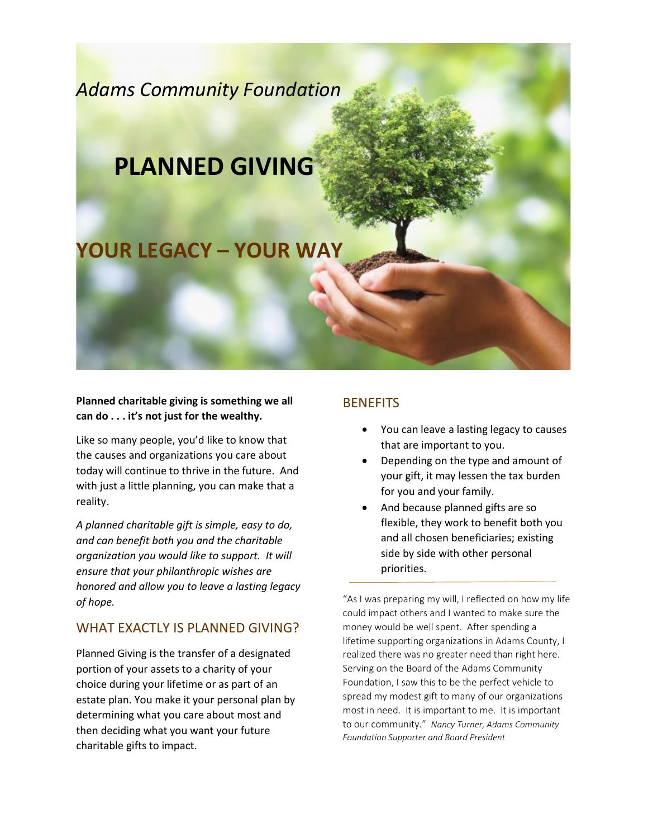

#### **Planned charitable giving is something we all can do . . . it's not just for the wealthy.**

Like so many people, you'd like to know that the causes and organizations you care about today will continue to thrive in the future. And with just a little planning, you can make that a reality.

*A planned charitable gift is simple, easy to do, and can benefit both you and the charitable organization you would like to support. It will ensure that your philanthropic wishes are honored and allow you to leave a lasting legacy of hope.*

### WHAT EXACTLY IS PLANNED GIVING?

Planned Giving is the transfer of a designated portion of your assets to a charity of your choice during your lifetime or as part of an estate plan. You make it your personal plan by determining what you care about most and then deciding what you want your future charitable gifts to impact.

### **BENEFITS**

- You can leave a lasting legacy to causes that are important to you.
- Depending on the type and amount of your gift, it may lessen the tax burden for you and your family.
- And because planned gifts are so flexible, they work to benefit both you and all chosen beneficiaries; existing side by side with other personal priorities.

"As I was preparing my will, I reflected on how my life could impact others and I wanted to make sure the money would be well spent. After spending a lifetime supporting organizations in Adams County, I realized there was no greater need than right here. Serving on the Board of the Adams Community Foundation, I saw this to be the perfect vehicle to spread my modest gift to many of our organizations most in need. It is important to me. It is important to our community." *Nancy Turner, Adams Community Foundation Supporter and Board President*